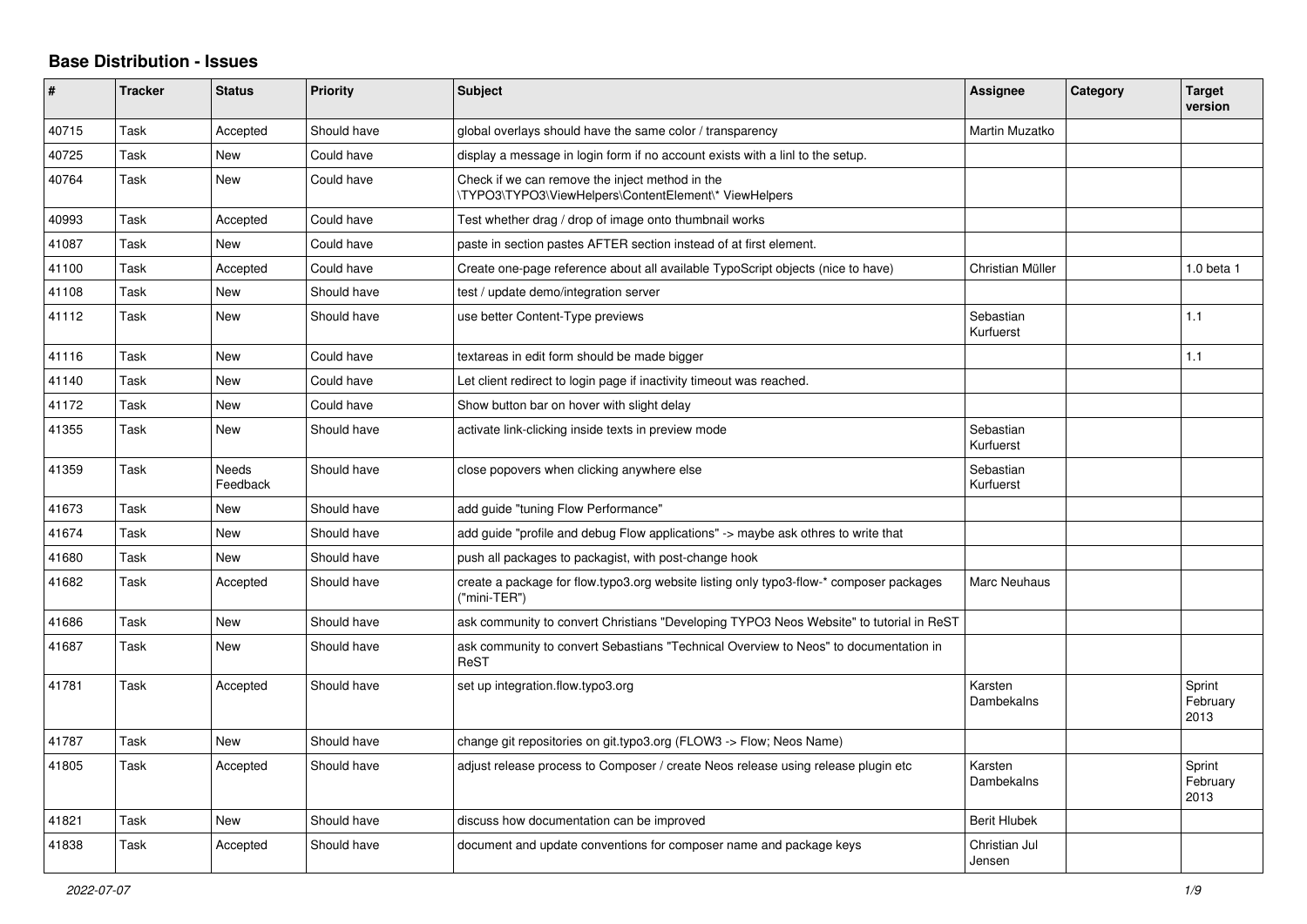## **Base Distribution - Issues**

| #     | <b>Tracker</b> | <b>Status</b>            | <b>Priority</b> | <b>Subject</b>                                                                                           | <b>Assignee</b>         | Category | <b>Target</b><br>version   |
|-------|----------------|--------------------------|-----------------|----------------------------------------------------------------------------------------------------------|-------------------------|----------|----------------------------|
| 40715 | Task           | Accepted                 | Should have     | global overlays should have the same color / transparency                                                | Martin Muzatko          |          |                            |
| 40725 | Task           | <b>New</b>               | Could have      | display a message in login form if no account exists with a linl to the setup.                           |                         |          |                            |
| 40764 | Task           | New                      | Could have      | Check if we can remove the inject method in the<br>\TYPO3\TYPO3\ViewHelpers\ContentElement\* ViewHelpers |                         |          |                            |
| 40993 | Task           | Accepted                 | Could have      | Test whether drag / drop of image onto thumbnail works                                                   |                         |          |                            |
| 41087 | Task           | <b>New</b>               | Could have      | paste in section pastes AFTER section instead of at first element.                                       |                         |          |                            |
| 41100 | Task           | Accepted                 | Could have      | Create one-page reference about all available TypoScript objects (nice to have)                          | Christian Müller        |          | 1.0 beta 1                 |
| 41108 | Task           | New                      | Should have     | test / update demo/integration server                                                                    |                         |          |                            |
| 41112 | Task           | <b>New</b>               | Should have     | use better Content-Type previews                                                                         | Sebastian<br>Kurfuerst  |          | 1.1                        |
| 41116 | Task           | <b>New</b>               | Could have      | textareas in edit form should be made bigger                                                             |                         |          | 1.1                        |
| 41140 | Task           | <b>New</b>               | Could have      | Let client redirect to login page if inactivity timeout was reached.                                     |                         |          |                            |
| 41172 | Task           | New                      | Could have      | Show button bar on hover with slight delay                                                               |                         |          |                            |
| 41355 | Task           | New                      | Should have     | activate link-clicking inside texts in preview mode                                                      | Sebastian<br>Kurfuerst  |          |                            |
| 41359 | Task           | <b>Needs</b><br>Feedback | Should have     | close popovers when clicking anywhere else                                                               | Sebastian<br>Kurfuerst  |          |                            |
| 41673 | Task           | <b>New</b>               | Should have     | add guide "tuning Flow Performance"                                                                      |                         |          |                            |
| 41674 | Task           | <b>New</b>               | Should have     | add guide "profile and debug Flow applications" -> maybe ask othres to write that                        |                         |          |                            |
| 41680 | Task           | New                      | Should have     | push all packages to packagist, with post-change hook                                                    |                         |          |                            |
| 41682 | Task           | Accepted                 | Should have     | create a package for flow typo3 org website listing only typo3-flow-* composer packages<br>("mini-TER")  | Marc Neuhaus            |          |                            |
| 41686 | Task           | New                      | Should have     | ask community to convert Christians "Developing TYPO3 Neos Website" to tutorial in ReST                  |                         |          |                            |
| 41687 | Task           | <b>New</b>               | Should have     | ask community to convert Sebastians "Technical Overview to Neos" to documentation in<br>ReST             |                         |          |                            |
| 41781 | Task           | Accepted                 | Should have     | set up integration.flow.typo3.org                                                                        | Karsten<br>Dambekalns   |          | Sprint<br>February<br>2013 |
| 41787 | Task           | <b>New</b>               | Should have     | change git repositories on git.typo3.org (FLOW3 -> Flow; Neos Name)                                      |                         |          |                            |
| 41805 | Task           | Accepted                 | Should have     | adjust release process to Composer / create Neos release using release plugin etc                        | Karsten<br>Dambekalns   |          | Sprint<br>February<br>2013 |
| 41821 | Task           | <b>New</b>               | Should have     | discuss how documentation can be improved                                                                | <b>Berit Hlubek</b>     |          |                            |
| 41838 | Task           | Accepted                 | Should have     | document and update conventions for composer name and package keys                                       | Christian Jul<br>Jensen |          |                            |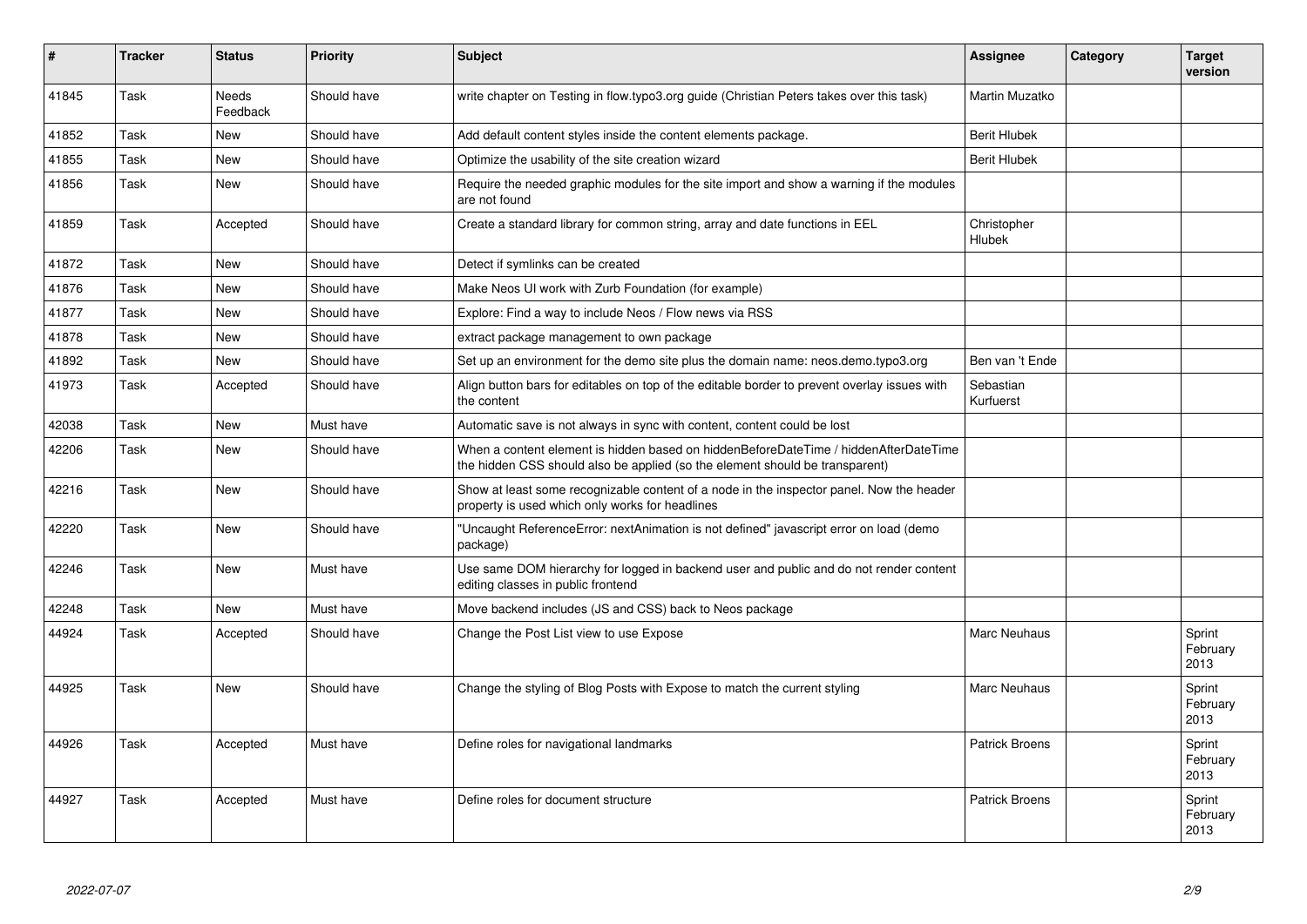| #     | <b>Tracker</b> | <b>Status</b>            | <b>Priority</b> | <b>Subject</b>                                                                                                                                                       | Assignee               | Category | <b>Target</b><br>version   |
|-------|----------------|--------------------------|-----------------|----------------------------------------------------------------------------------------------------------------------------------------------------------------------|------------------------|----------|----------------------------|
| 41845 | Task           | <b>Needs</b><br>Feedback | Should have     | write chapter on Testing in flow.typo3.org guide (Christian Peters takes over this task)                                                                             | Martin Muzatko         |          |                            |
| 41852 | Task           | <b>New</b>               | Should have     | Add default content styles inside the content elements package.                                                                                                      | <b>Berit Hlubek</b>    |          |                            |
| 41855 | Task           | <b>New</b>               | Should have     | Optimize the usability of the site creation wizard                                                                                                                   | <b>Berit Hlubek</b>    |          |                            |
| 41856 | Task           | <b>New</b>               | Should have     | Require the needed graphic modules for the site import and show a warning if the modules<br>are not found                                                            |                        |          |                            |
| 41859 | Task           | Accepted                 | Should have     | Create a standard library for common string, array and date functions in EEL                                                                                         | Christopher<br>Hlubek  |          |                            |
| 41872 | Task           | <b>New</b>               | Should have     | Detect if symlinks can be created                                                                                                                                    |                        |          |                            |
| 41876 | Task           | <b>New</b>               | Should have     | Make Neos UI work with Zurb Foundation (for example)                                                                                                                 |                        |          |                            |
| 41877 | Task           | <b>New</b>               | Should have     | Explore: Find a way to include Neos / Flow news via RSS                                                                                                              |                        |          |                            |
| 41878 | Task           | <b>New</b>               | Should have     | extract package management to own package                                                                                                                            |                        |          |                            |
| 41892 | Task           | <b>New</b>               | Should have     | Set up an environment for the demo site plus the domain name: neos.demo.typo3.org                                                                                    | Ben van 't Ende        |          |                            |
| 41973 | Task           | Accepted                 | Should have     | Align button bars for editables on top of the editable border to prevent overlay issues with<br>the content                                                          | Sebastian<br>Kurfuerst |          |                            |
| 42038 | Task           | <b>New</b>               | Must have       | Automatic save is not always in sync with content, content could be lost                                                                                             |                        |          |                            |
| 42206 | Task           | <b>New</b>               | Should have     | When a content element is hidden based on hiddenBeforeDateTime / hiddenAfterDateTime<br>the hidden CSS should also be applied (so the element should be transparent) |                        |          |                            |
| 42216 | Task           | <b>New</b>               | Should have     | Show at least some recognizable content of a node in the inspector panel. Now the header<br>property is used which only works for headlines                          |                        |          |                            |
| 42220 | Task           | <b>New</b>               | Should have     | "Uncaught ReferenceError: nextAnimation is not defined" javascript error on load (demo<br>package)                                                                   |                        |          |                            |
| 42246 | Task           | <b>New</b>               | Must have       | Use same DOM hierarchy for logged in backend user and public and do not render content<br>editing classes in public frontend                                         |                        |          |                            |
| 42248 | Task           | <b>New</b>               | Must have       | Move backend includes (JS and CSS) back to Neos package                                                                                                              |                        |          |                            |
| 44924 | Task           | Accepted                 | Should have     | Change the Post List view to use Expose                                                                                                                              | Marc Neuhaus           |          | Sprint<br>February<br>2013 |
| 44925 | Task           | <b>New</b>               | Should have     | Change the styling of Blog Posts with Expose to match the current styling                                                                                            | <b>Marc Neuhaus</b>    |          | Sprint<br>February<br>2013 |
| 44926 | Task           | Accepted                 | Must have       | Define roles for navigational landmarks                                                                                                                              | <b>Patrick Broens</b>  |          | Sprint<br>February<br>2013 |
| 44927 | Task           | Accepted                 | Must have       | Define roles for document structure                                                                                                                                  | <b>Patrick Broens</b>  |          | Sprint<br>February<br>2013 |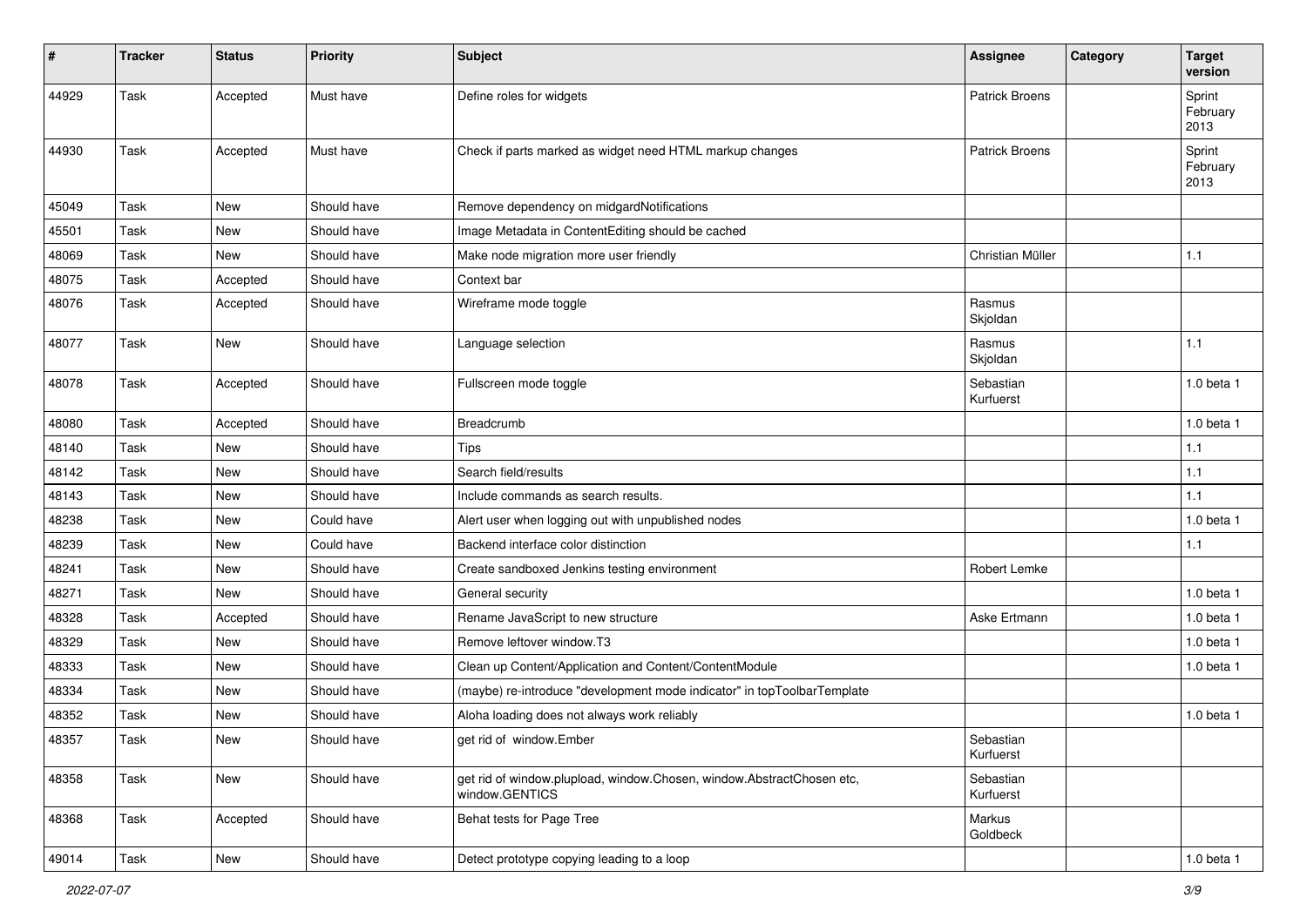| #     | <b>Tracker</b> | <b>Status</b> | Priority    | <b>Subject</b>                                                                          | <b>Assignee</b>        | Category | <b>Target</b><br>version   |
|-------|----------------|---------------|-------------|-----------------------------------------------------------------------------------------|------------------------|----------|----------------------------|
| 44929 | Task           | Accepted      | Must have   | Define roles for widgets                                                                | <b>Patrick Broens</b>  |          | Sprint<br>February<br>2013 |
| 44930 | Task           | Accepted      | Must have   | Check if parts marked as widget need HTML markup changes                                | <b>Patrick Broens</b>  |          | Sprint<br>February<br>2013 |
| 45049 | Task           | <b>New</b>    | Should have | Remove dependency on midgardNotifications                                               |                        |          |                            |
| 45501 | Task           | <b>New</b>    | Should have | Image Metadata in ContentEditing should be cached                                       |                        |          |                            |
| 48069 | Task           | <b>New</b>    | Should have | Make node migration more user friendly                                                  | Christian Müller       |          | 1.1                        |
| 48075 | Task           | Accepted      | Should have | Context bar                                                                             |                        |          |                            |
| 48076 | Task           | Accepted      | Should have | Wireframe mode toggle                                                                   | Rasmus<br>Skjoldan     |          |                            |
| 48077 | Task           | <b>New</b>    | Should have | Language selection                                                                      | Rasmus<br>Skjoldan     |          | 1.1                        |
| 48078 | Task           | Accepted      | Should have | Fullscreen mode toggle                                                                  | Sebastian<br>Kurfuerst |          | 1.0 beta 1                 |
| 48080 | Task           | Accepted      | Should have | Breadcrumb                                                                              |                        |          | 1.0 beta 1                 |
| 48140 | Task           | <b>New</b>    | Should have | Tips                                                                                    |                        |          | 1.1                        |
| 48142 | Task           | <b>New</b>    | Should have | Search field/results                                                                    |                        |          | 1.1                        |
| 48143 | Task           | <b>New</b>    | Should have | Include commands as search results.                                                     |                        |          | 1.1                        |
| 48238 | Task           | New           | Could have  | Alert user when logging out with unpublished nodes                                      |                        |          | 1.0 beta 1                 |
| 48239 | Task           | <b>New</b>    | Could have  | Backend interface color distinction                                                     |                        |          | 1.1                        |
| 48241 | Task           | New           | Should have | Create sandboxed Jenkins testing environment                                            | Robert Lemke           |          |                            |
| 48271 | Task           | <b>New</b>    | Should have | General security                                                                        |                        |          | 1.0 beta 1                 |
| 48328 | Task           | Accepted      | Should have | Rename JavaScript to new structure                                                      | Aske Ertmann           |          | 1.0 beta 1                 |
| 48329 | Task           | <b>New</b>    | Should have | Remove leftover window.T3                                                               |                        |          | 1.0 beta 1                 |
| 48333 | Task           | <b>New</b>    | Should have | Clean up Content/Application and Content/ContentModule                                  |                        |          | 1.0 beta 1                 |
| 48334 | Task           | <b>New</b>    | Should have | (maybe) re-introduce "development mode indicator" in topToolbarTemplate                 |                        |          |                            |
| 48352 | Task           | New           | Should have | Aloha loading does not always work reliably                                             |                        |          | 1.0 beta 1                 |
| 48357 | Task           | New           | Should have | get rid of window.Ember                                                                 | Sebastian<br>Kurfuerst |          |                            |
| 48358 | Task           | New           | Should have | get rid of window.plupload, window.Chosen, window.AbstractChosen etc,<br>window.GENTICS | Sebastian<br>Kurfuerst |          |                            |
| 48368 | Task           | Accepted      | Should have | Behat tests for Page Tree                                                               | Markus<br>Goldbeck     |          |                            |
| 49014 | Task           | New           | Should have | Detect prototype copying leading to a loop                                              |                        |          | 1.0 beta 1                 |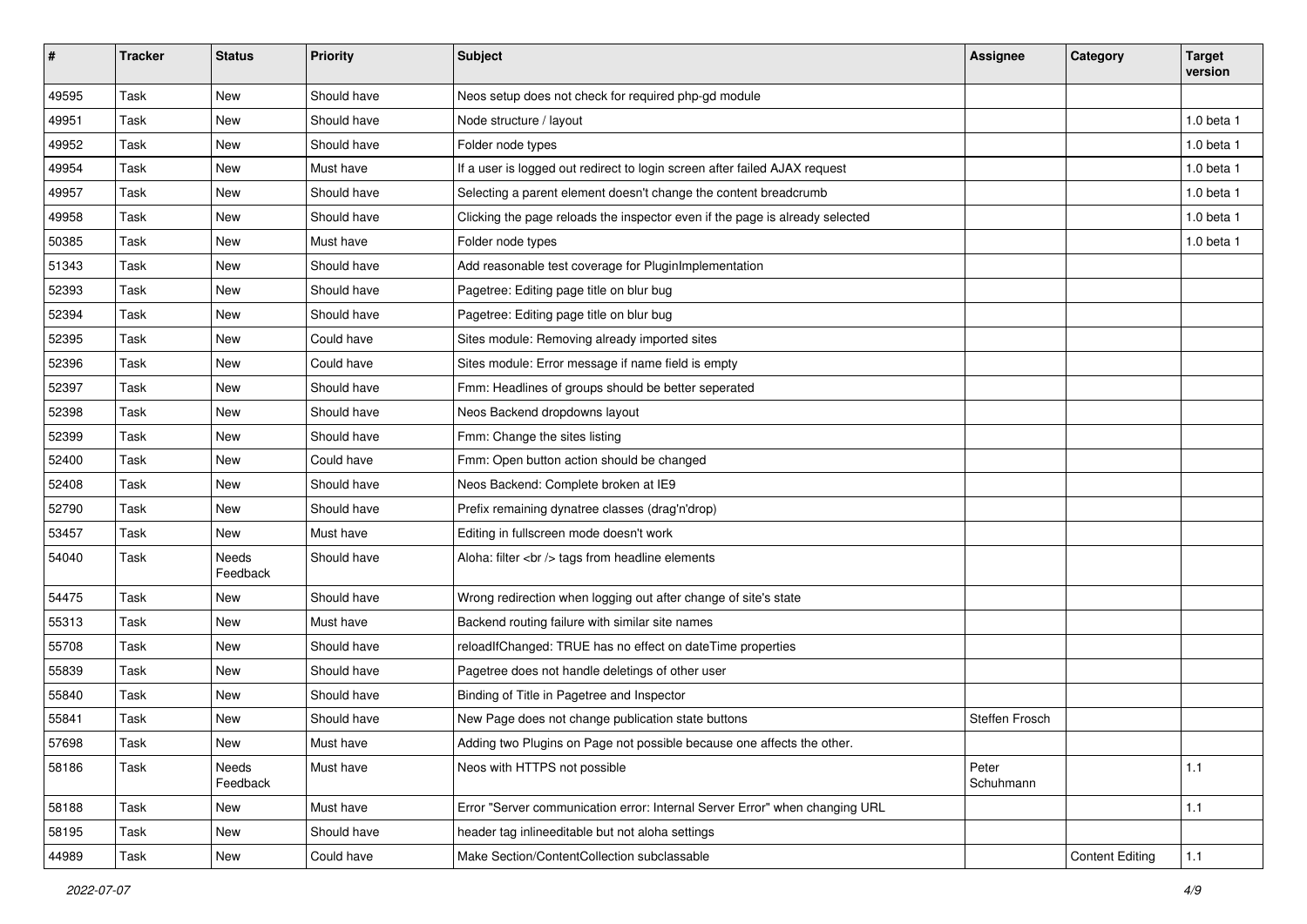| $\sharp$ | <b>Tracker</b> | <b>Status</b>     | <b>Priority</b> | <b>Subject</b>                                                               | <b>Assignee</b>    | Category               | <b>Target</b><br>version |
|----------|----------------|-------------------|-----------------|------------------------------------------------------------------------------|--------------------|------------------------|--------------------------|
| 49595    | Task           | <b>New</b>        | Should have     | Neos setup does not check for required php-gd module                         |                    |                        |                          |
| 49951    | Task           | <b>New</b>        | Should have     | Node structure / layout                                                      |                    |                        | 1.0 beta 1               |
| 49952    | Task           | <b>New</b>        | Should have     | Folder node types                                                            |                    |                        | $1.0$ beta $1$           |
| 49954    | Task           | New               | Must have       | If a user is logged out redirect to login screen after failed AJAX request   |                    |                        | 1.0 beta 1               |
| 49957    | Task           | <b>New</b>        | Should have     | Selecting a parent element doesn't change the content breadcrumb             |                    |                        | 1.0 beta 1               |
| 49958    | Task           | <b>New</b>        | Should have     | Clicking the page reloads the inspector even if the page is already selected |                    |                        | 1.0 beta 1               |
| 50385    | Task           | New               | Must have       | Folder node types                                                            |                    |                        | 1.0 beta 1               |
| 51343    | Task           | <b>New</b>        | Should have     | Add reasonable test coverage for PluginImplementation                        |                    |                        |                          |
| 52393    | Task           | <b>New</b>        | Should have     | Pagetree: Editing page title on blur bug                                     |                    |                        |                          |
| 52394    | Task           | <b>New</b>        | Should have     | Pagetree: Editing page title on blur bug                                     |                    |                        |                          |
| 52395    | Task           | <b>New</b>        | Could have      | Sites module: Removing already imported sites                                |                    |                        |                          |
| 52396    | Task           | New               | Could have      | Sites module: Error message if name field is empty                           |                    |                        |                          |
| 52397    | Task           | New               | Should have     | Fmm: Headlines of groups should be better seperated                          |                    |                        |                          |
| 52398    | Task           | New               | Should have     | Neos Backend dropdowns layout                                                |                    |                        |                          |
| 52399    | Task           | <b>New</b>        | Should have     | Fmm: Change the sites listing                                                |                    |                        |                          |
| 52400    | Task           | <b>New</b>        | Could have      | Fmm: Open button action should be changed                                    |                    |                        |                          |
| 52408    | Task           | New               | Should have     | Neos Backend: Complete broken at IE9                                         |                    |                        |                          |
| 52790    | Task           | New               | Should have     | Prefix remaining dynatree classes (drag'n'drop)                              |                    |                        |                          |
| 53457    | Task           | <b>New</b>        | Must have       | Editing in fullscreen mode doesn't work                                      |                    |                        |                          |
| 54040    | Task           | Needs<br>Feedback | Should have     | Aloha: filter<br>tags from headline elements                                 |                    |                        |                          |
| 54475    | Task           | <b>New</b>        | Should have     | Wrong redirection when logging out after change of site's state              |                    |                        |                          |
| 55313    | Task           | <b>New</b>        | Must have       | Backend routing failure with similar site names                              |                    |                        |                          |
| 55708    | Task           | <b>New</b>        | Should have     | reloadIfChanged: TRUE has no effect on dateTime properties                   |                    |                        |                          |
| 55839    | Task           | New               | Should have     | Pagetree does not handle deletings of other user                             |                    |                        |                          |
| 55840    | Task           | <b>New</b>        | Should have     | Binding of Title in Pagetree and Inspector                                   |                    |                        |                          |
| 55841    | Task           | <b>New</b>        | Should have     | New Page does not change publication state buttons                           | Steffen Frosch     |                        |                          |
| 57698    | Task           | New               | Must have       | Adding two Plugins on Page not possible because one affects the other.       |                    |                        |                          |
| 58186    | Task           | Needs<br>Feedback | Must have       | Neos with HTTPS not possible                                                 | Peter<br>Schuhmann |                        | 1.1                      |
| 58188    | Task           | New               | Must have       | Error "Server communication error: Internal Server Error" when changing URL  |                    |                        | 1.1                      |
| 58195    | Task           | New               | Should have     | header tag inlineeditable but not aloha settings                             |                    |                        |                          |
| 44989    | Task           | New               | Could have      | Make Section/ContentCollection subclassable                                  |                    | <b>Content Editing</b> | 1.1                      |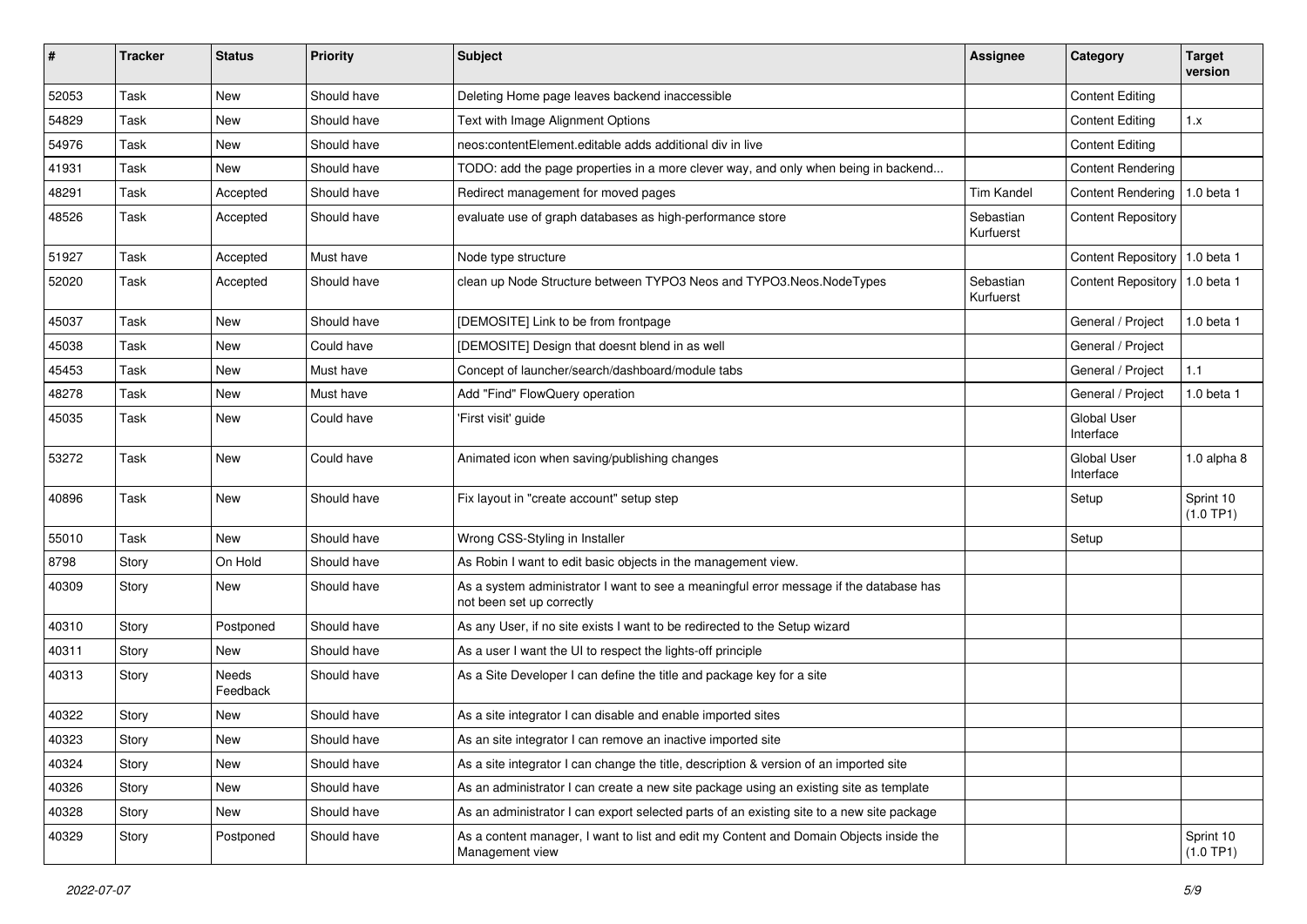| #     | <b>Tracker</b> | <b>Status</b>     | <b>Priority</b> | <b>Subject</b>                                                                                                      | <b>Assignee</b>        | Category                        | <b>Target</b><br>version |
|-------|----------------|-------------------|-----------------|---------------------------------------------------------------------------------------------------------------------|------------------------|---------------------------------|--------------------------|
| 52053 | Task           | <b>New</b>        | Should have     | Deleting Home page leaves backend inaccessible                                                                      |                        | <b>Content Editing</b>          |                          |
| 54829 | Task           | New               | Should have     | Text with Image Alignment Options                                                                                   |                        | <b>Content Editing</b>          | 1.x                      |
| 54976 | Task           | <b>New</b>        | Should have     | neos:contentElement.editable adds additional div in live                                                            |                        | <b>Content Editing</b>          |                          |
| 41931 | Task           | New               | Should have     | TODO: add the page properties in a more clever way, and only when being in backend                                  |                        | <b>Content Rendering</b>        |                          |
| 48291 | Task           | Accepted          | Should have     | Redirect management for moved pages                                                                                 | <b>Tim Kandel</b>      | <b>Content Rendering</b>        | 1.0 beta 1               |
| 48526 | Task           | Accepted          | Should have     | evaluate use of graph databases as high-performance store                                                           | Sebastian<br>Kurfuerst | <b>Content Repository</b>       |                          |
| 51927 | Task           | Accepted          | Must have       | Node type structure                                                                                                 |                        | <b>Content Repository</b>       | 1.0 beta 1               |
| 52020 | Task           | Accepted          | Should have     | clean up Node Structure between TYPO3 Neos and TYPO3.Neos.NodeTypes                                                 | Sebastian<br>Kurfuerst | Content Repository              | 1.0 beta 1               |
| 45037 | Task           | New               | Should have     | [DEMOSITE] Link to be from frontpage                                                                                |                        | General / Project               | 1.0 beta 1               |
| 45038 | Task           | <b>New</b>        | Could have      | [DEMOSITE] Design that doesnt blend in as well                                                                      |                        | General / Project               |                          |
| 45453 | Task           | <b>New</b>        | Must have       | Concept of launcher/search/dashboard/module tabs                                                                    |                        | General / Project               | 1.1                      |
| 48278 | Task           | New               | Must have       | Add "Find" FlowQuery operation                                                                                      |                        | General / Project               | 1.0 beta 1               |
| 45035 | Task           | <b>New</b>        | Could have      | 'First visit' guide                                                                                                 |                        | <b>Global User</b><br>Interface |                          |
| 53272 | Task           | <b>New</b>        | Could have      | Animated icon when saving/publishing changes                                                                        |                        | <b>Global User</b><br>Interface | 1.0 alpha $8$            |
| 40896 | Task           | New               | Should have     | Fix layout in "create account" setup step                                                                           |                        | Setup                           | Sprint 10<br>(1.0 TP1)   |
| 55010 | Task           | New               | Should have     | Wrong CSS-Styling in Installer                                                                                      |                        | Setup                           |                          |
| 8798  | Story          | On Hold           | Should have     | As Robin I want to edit basic objects in the management view.                                                       |                        |                                 |                          |
| 40309 | Story          | New               | Should have     | As a system administrator I want to see a meaningful error message if the database has<br>not been set up correctly |                        |                                 |                          |
| 40310 | Story          | Postponed         | Should have     | As any User, if no site exists I want to be redirected to the Setup wizard                                          |                        |                                 |                          |
| 40311 | Story          | New               | Should have     | As a user I want the UI to respect the lights-off principle                                                         |                        |                                 |                          |
| 40313 | Story          | Needs<br>Feedback | Should have     | As a Site Developer I can define the title and package key for a site                                               |                        |                                 |                          |
| 40322 | Story          | New               | Should have     | As a site integrator I can disable and enable imported sites                                                        |                        |                                 |                          |
| 40323 | Story          | New               | Should have     | As an site integrator I can remove an inactive imported site                                                        |                        |                                 |                          |
| 40324 | Story          | New               | Should have     | As a site integrator I can change the title, description & version of an imported site                              |                        |                                 |                          |
| 40326 | Story          | New               | Should have     | As an administrator I can create a new site package using an existing site as template                              |                        |                                 |                          |
| 40328 | Story          | New               | Should have     | As an administrator I can export selected parts of an existing site to a new site package                           |                        |                                 |                          |
| 40329 | Story          | Postponed         | Should have     | As a content manager, I want to list and edit my Content and Domain Objects inside the<br>Management view           |                        |                                 | Sprint 10<br>(1.0 TP1)   |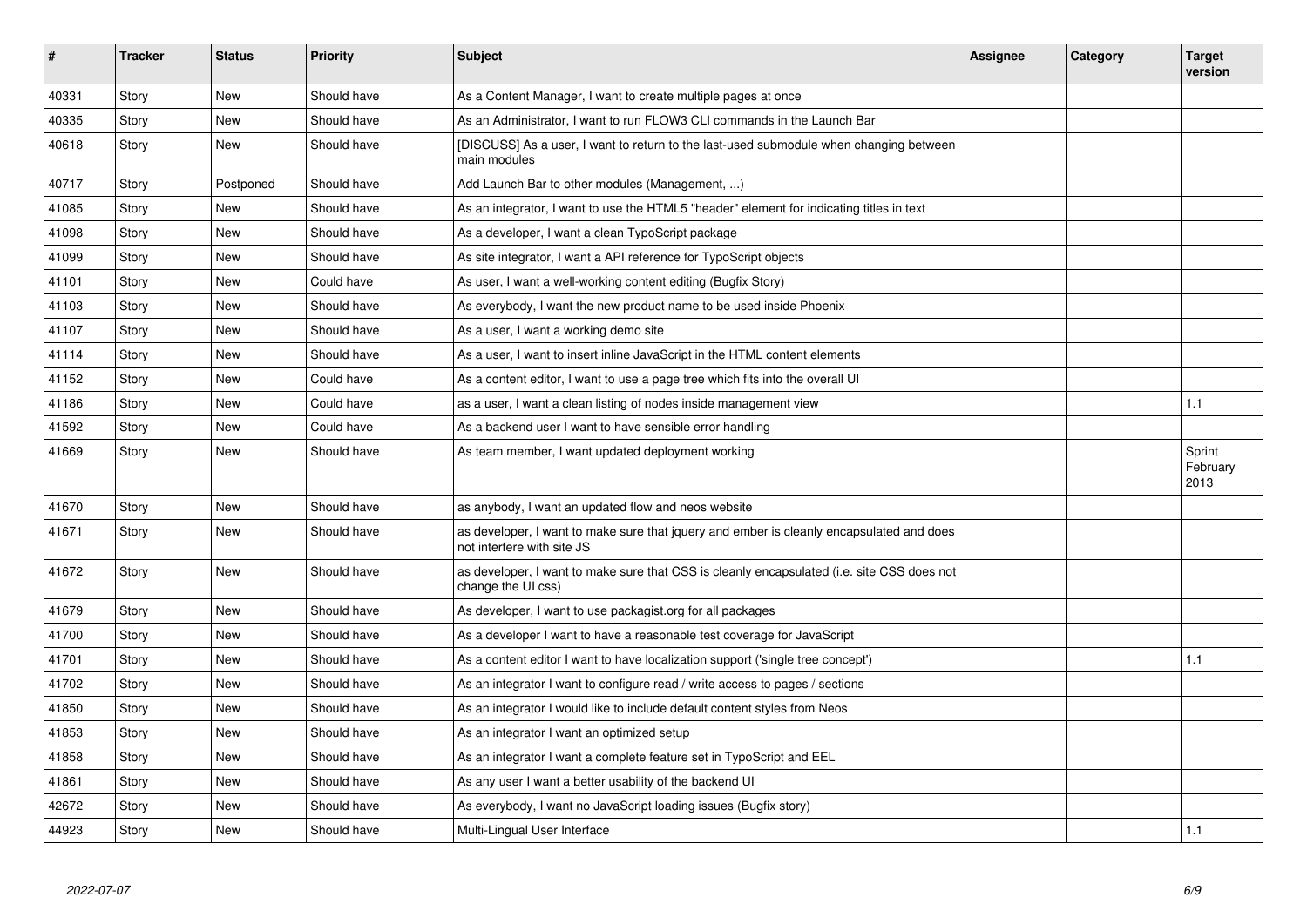| #     | <b>Tracker</b> | <b>Status</b> | <b>Priority</b> | <b>Subject</b>                                                                                                         | <b>Assignee</b> | Category | <b>Target</b><br>version   |
|-------|----------------|---------------|-----------------|------------------------------------------------------------------------------------------------------------------------|-----------------|----------|----------------------------|
| 40331 | Story          | <b>New</b>    | Should have     | As a Content Manager, I want to create multiple pages at once                                                          |                 |          |                            |
| 40335 | Story          | New           | Should have     | As an Administrator, I want to run FLOW3 CLI commands in the Launch Bar                                                |                 |          |                            |
| 40618 | Story          | New           | Should have     | [DISCUSS] As a user, I want to return to the last-used submodule when changing between<br>main modules                 |                 |          |                            |
| 40717 | Story          | Postponed     | Should have     | Add Launch Bar to other modules (Management, )                                                                         |                 |          |                            |
| 41085 | Story          | <b>New</b>    | Should have     | As an integrator, I want to use the HTML5 "header" element for indicating titles in text                               |                 |          |                            |
| 41098 | Story          | <b>New</b>    | Should have     | As a developer, I want a clean TypoScript package                                                                      |                 |          |                            |
| 41099 | Story          | <b>New</b>    | Should have     | As site integrator, I want a API reference for TypoScript objects                                                      |                 |          |                            |
| 41101 | Story          | New           | Could have      | As user, I want a well-working content editing (Bugfix Story)                                                          |                 |          |                            |
| 41103 | Story          | New           | Should have     | As everybody, I want the new product name to be used inside Phoenix                                                    |                 |          |                            |
| 41107 | Story          | New           | Should have     | As a user, I want a working demo site                                                                                  |                 |          |                            |
| 41114 | Story          | <b>New</b>    | Should have     | As a user, I want to insert inline JavaScript in the HTML content elements                                             |                 |          |                            |
| 41152 | Story          | <b>New</b>    | Could have      | As a content editor, I want to use a page tree which fits into the overall UI                                          |                 |          |                            |
| 41186 | Story          | <b>New</b>    | Could have      | as a user, I want a clean listing of nodes inside management view                                                      |                 |          | 1.1                        |
| 41592 | Story          | <b>New</b>    | Could have      | As a backend user I want to have sensible error handling                                                               |                 |          |                            |
| 41669 | Story          | New           | Should have     | As team member, I want updated deployment working                                                                      |                 |          | Sprint<br>February<br>2013 |
| 41670 | Story          | New           | Should have     | as anybody, I want an updated flow and neos website                                                                    |                 |          |                            |
| 41671 | Story          | New           | Should have     | as developer, I want to make sure that jquery and ember is cleanly encapsulated and does<br>not interfere with site JS |                 |          |                            |
| 41672 | Story          | New           | Should have     | as developer, I want to make sure that CSS is cleanly encapsulated (i.e. site CSS does not<br>change the UI css)       |                 |          |                            |
| 41679 | Story          | <b>New</b>    | Should have     | As developer, I want to use packagist org for all packages                                                             |                 |          |                            |
| 41700 | Story          | New           | Should have     | As a developer I want to have a reasonable test coverage for JavaScript                                                |                 |          |                            |
| 41701 | Story          | <b>New</b>    | Should have     | As a content editor I want to have localization support ('single tree concept')                                        |                 |          | 1.1                        |
| 41702 | Story          | New           | Should have     | As an integrator I want to configure read / write access to pages / sections                                           |                 |          |                            |
| 41850 | Story          | <b>New</b>    | Should have     | As an integrator I would like to include default content styles from Neos                                              |                 |          |                            |
| 41853 | Story          | New           | Should have     | As an integrator I want an optimized setup                                                                             |                 |          |                            |
| 41858 | Story          | <b>New</b>    | Should have     | As an integrator I want a complete feature set in TypoScript and EEL                                                   |                 |          |                            |
| 41861 | Story          | <b>New</b>    | Should have     | As any user I want a better usability of the backend UI                                                                |                 |          |                            |
| 42672 | Story          | New           | Should have     | As everybody, I want no JavaScript loading issues (Bugfix story)                                                       |                 |          |                            |
| 44923 | Story          | New           | Should have     | Multi-Lingual User Interface                                                                                           |                 |          | 1.1                        |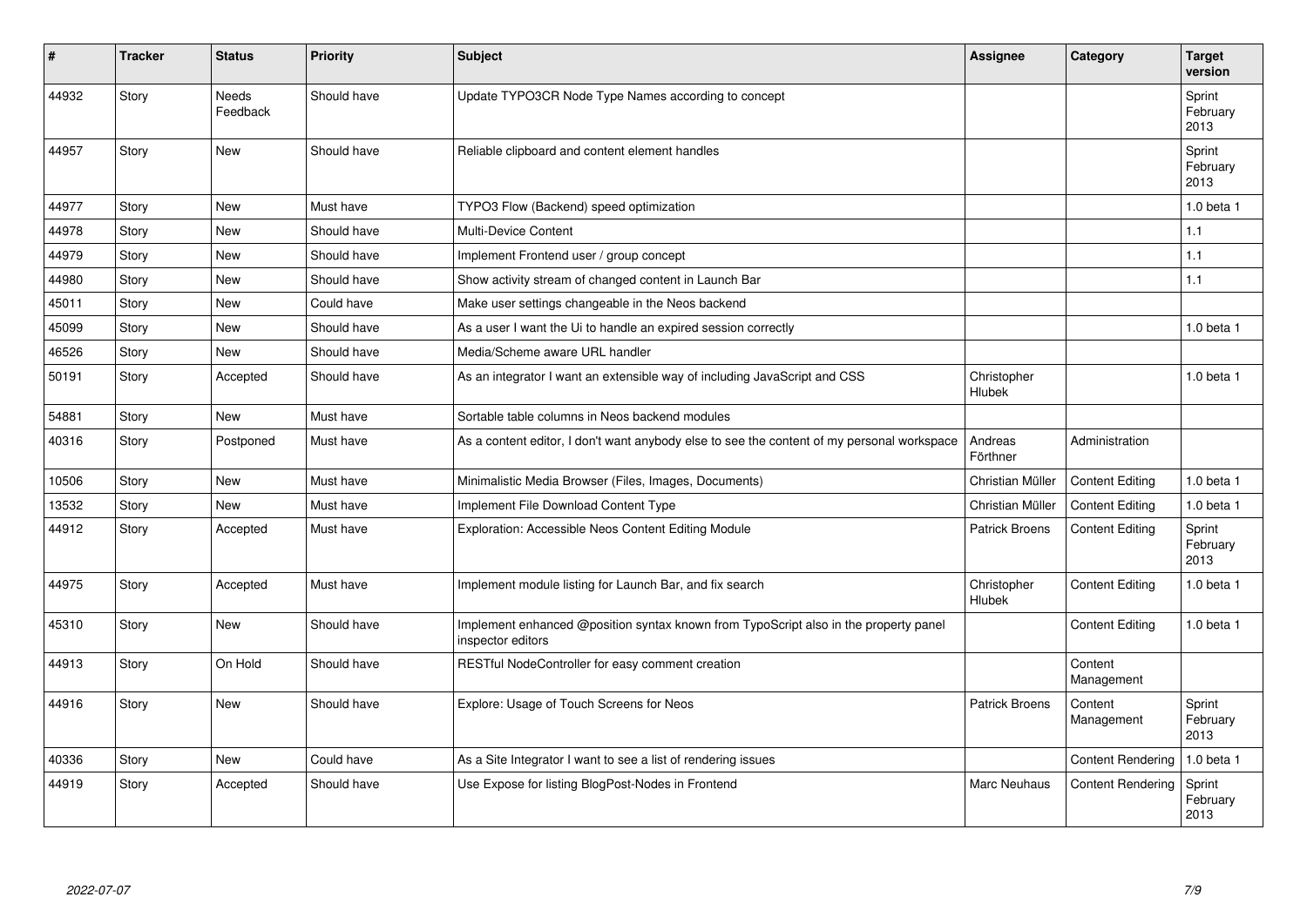| #     | <b>Tracker</b> | <b>Status</b>     | <b>Priority</b> | <b>Subject</b>                                                                                            | Assignee              | Category                 | <b>Target</b><br>version   |
|-------|----------------|-------------------|-----------------|-----------------------------------------------------------------------------------------------------------|-----------------------|--------------------------|----------------------------|
| 44932 | Story          | Needs<br>Feedback | Should have     | Update TYPO3CR Node Type Names according to concept                                                       |                       |                          | Sprint<br>February<br>2013 |
| 44957 | Story          | <b>New</b>        | Should have     | Reliable clipboard and content element handles                                                            |                       |                          | Sprint<br>February<br>2013 |
| 44977 | Story          | New               | Must have       | TYPO3 Flow (Backend) speed optimization                                                                   |                       |                          | 1.0 beta 1                 |
| 44978 | Story          | <b>New</b>        | Should have     | Multi-Device Content                                                                                      |                       |                          | 1.1                        |
| 44979 | Story          | <b>New</b>        | Should have     | Implement Frontend user / group concept                                                                   |                       |                          | 1.1                        |
| 44980 | Story          | New               | Should have     | Show activity stream of changed content in Launch Bar                                                     |                       |                          | 1.1                        |
| 45011 | Story          | <b>New</b>        | Could have      | Make user settings changeable in the Neos backend                                                         |                       |                          |                            |
| 45099 | Story          | <b>New</b>        | Should have     | As a user I want the Ui to handle an expired session correctly                                            |                       |                          | $1.0$ beta $1$             |
| 46526 | Story          | New               | Should have     | Media/Scheme aware URL handler                                                                            |                       |                          |                            |
| 50191 | Story          | Accepted          | Should have     | As an integrator I want an extensible way of including JavaScript and CSS                                 | Christopher<br>Hlubek |                          | 1.0 beta 1                 |
| 54881 | Story          | <b>New</b>        | Must have       | Sortable table columns in Neos backend modules                                                            |                       |                          |                            |
| 40316 | Story          | Postponed         | Must have       | As a content editor, I don't want anybody else to see the content of my personal workspace                | Andreas<br>Förthner   | Administration           |                            |
| 10506 | Story          | New               | Must have       | Minimalistic Media Browser (Files, Images, Documents)                                                     | Christian Müller      | <b>Content Editing</b>   | 1.0 beta 1                 |
| 13532 | Story          | <b>New</b>        | Must have       | Implement File Download Content Type                                                                      | Christian Müller      | <b>Content Editing</b>   | 1.0 beta 1                 |
| 44912 | Story          | Accepted          | Must have       | Exploration: Accessible Neos Content Editing Module                                                       | <b>Patrick Broens</b> | <b>Content Editing</b>   | Sprint<br>February<br>2013 |
| 44975 | Story          | Accepted          | Must have       | Implement module listing for Launch Bar, and fix search                                                   | Christopher<br>Hlubek | <b>Content Editing</b>   | 1.0 beta 1                 |
| 45310 | Story          | <b>New</b>        | Should have     | Implement enhanced @position syntax known from TypoScript also in the property panel<br>inspector editors |                       | <b>Content Editing</b>   | 1.0 beta 1                 |
| 44913 | Story          | On Hold           | Should have     | RESTful NodeController for easy comment creation                                                          |                       | Content<br>Management    |                            |
| 44916 | Story          | New               | Should have     | Explore: Usage of Touch Screens for Neos                                                                  | <b>Patrick Broens</b> | Content<br>Management    | Sprint<br>February<br>2013 |
| 40336 | Story          | New               | Could have      | As a Site Integrator I want to see a list of rendering issues                                             |                       | <b>Content Rendering</b> | 1.0 beta 1                 |
| 44919 | Story          | Accepted          | Should have     | Use Expose for listing BlogPost-Nodes in Frontend                                                         | <b>Marc Neuhaus</b>   | <b>Content Rendering</b> | Sprint<br>February<br>2013 |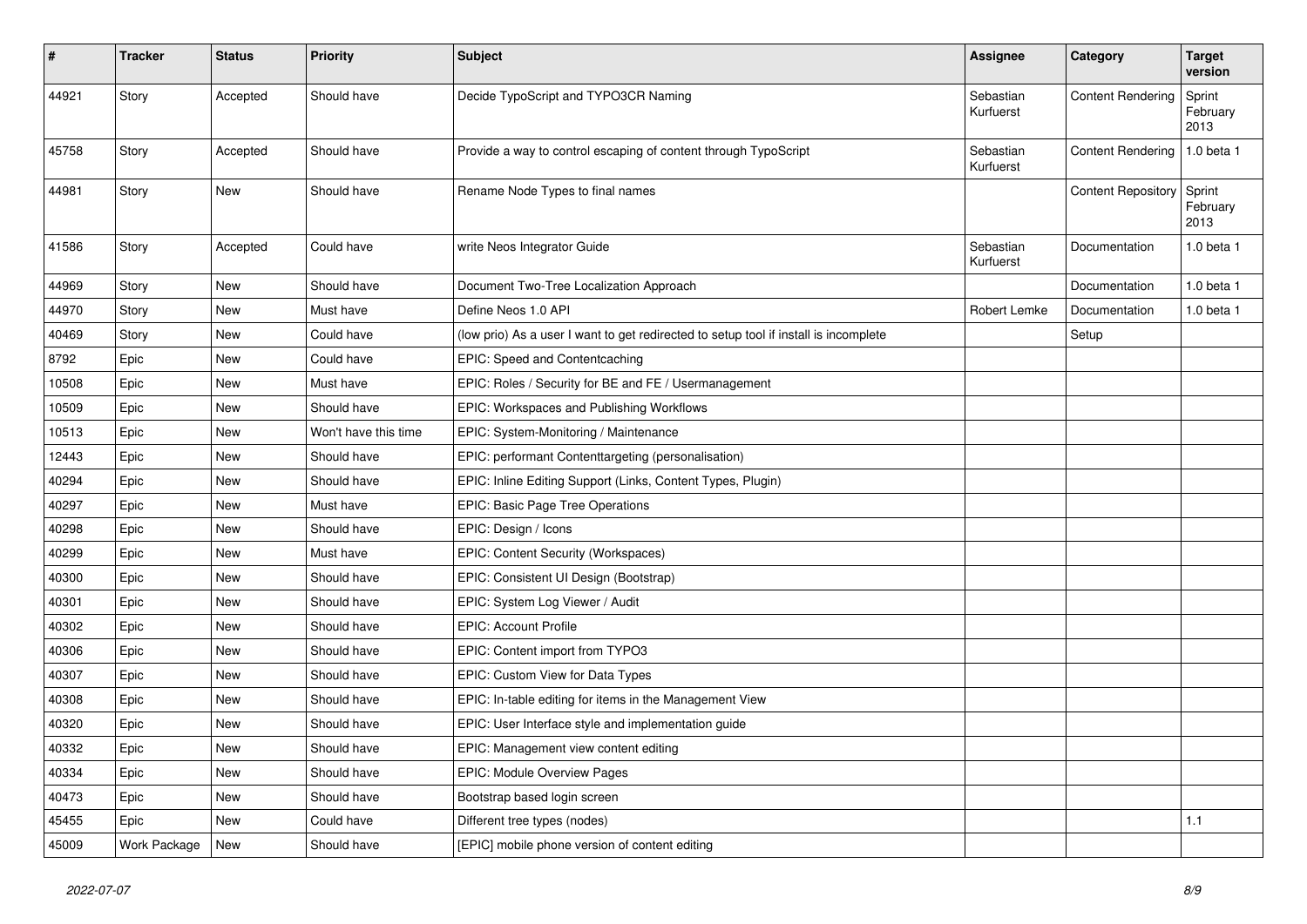| #     | <b>Tracker</b> | <b>Status</b> | Priority             | Subject                                                                              | Assignee               | Category                  | <b>Target</b><br>version   |
|-------|----------------|---------------|----------------------|--------------------------------------------------------------------------------------|------------------------|---------------------------|----------------------------|
| 44921 | Story          | Accepted      | Should have          | Decide TypoScript and TYPO3CR Naming                                                 | Sebastian<br>Kurfuerst | <b>Content Rendering</b>  | Sprint<br>February<br>2013 |
| 45758 | Story          | Accepted      | Should have          | Provide a way to control escaping of content through TypoScript                      | Sebastian<br>Kurfuerst | <b>Content Rendering</b>  | 1.0 beta 1                 |
| 44981 | Story          | New           | Should have          | Rename Node Types to final names                                                     |                        | Content Repository Sprint | February<br>2013           |
| 41586 | Story          | Accepted      | Could have           | write Neos Integrator Guide                                                          | Sebastian<br>Kurfuerst | Documentation             | 1.0 beta 1                 |
| 44969 | Story          | New           | Should have          | Document Two-Tree Localization Approach                                              |                        | Documentation             | 1.0 beta 1                 |
| 44970 | Story          | <b>New</b>    | Must have            | Define Neos 1.0 API                                                                  | Robert Lemke           | Documentation             | 1.0 beta 1                 |
| 40469 | Story          | New           | Could have           | (low prio) As a user I want to get redirected to setup tool if install is incomplete |                        | Setup                     |                            |
| 8792  | Epic           | <b>New</b>    | Could have           | EPIC: Speed and Contentcaching                                                       |                        |                           |                            |
| 10508 | Epic           | <b>New</b>    | Must have            | EPIC: Roles / Security for BE and FE / Usermanagement                                |                        |                           |                            |
| 10509 | Epic           | New           | Should have          | EPIC: Workspaces and Publishing Workflows                                            |                        |                           |                            |
| 10513 | Epic           | <b>New</b>    | Won't have this time | EPIC: System-Monitoring / Maintenance                                                |                        |                           |                            |
| 12443 | Epic           | New           | Should have          | EPIC: performant Contenttargeting (personalisation)                                  |                        |                           |                            |
| 40294 | Epic           | <b>New</b>    | Should have          | EPIC: Inline Editing Support (Links, Content Types, Plugin)                          |                        |                           |                            |
| 40297 | Epic           | <b>New</b>    | Must have            | EPIC: Basic Page Tree Operations                                                     |                        |                           |                            |
| 40298 | Epic           | <b>New</b>    | Should have          | EPIC: Design / Icons                                                                 |                        |                           |                            |
| 40299 | Epic           | New           | Must have            | EPIC: Content Security (Workspaces)                                                  |                        |                           |                            |
| 40300 | Epic           | <b>New</b>    | Should have          | EPIC: Consistent UI Design (Bootstrap)                                               |                        |                           |                            |
| 40301 | Epic           | <b>New</b>    | Should have          | EPIC: System Log Viewer / Audit                                                      |                        |                           |                            |
| 40302 | Epic           | <b>New</b>    | Should have          | <b>EPIC: Account Profile</b>                                                         |                        |                           |                            |
| 40306 | Epic           | New           | Should have          | EPIC: Content import from TYPO3                                                      |                        |                           |                            |
| 40307 | Epic           | New           | Should have          | EPIC: Custom View for Data Types                                                     |                        |                           |                            |
| 40308 | Epic           | <b>New</b>    | Should have          | EPIC: In-table editing for items in the Management View                              |                        |                           |                            |
| 40320 | Epic           | New           | Should have          | EPIC: User Interface style and implementation guide                                  |                        |                           |                            |
| 40332 | Epic           | New           | Should have          | EPIC: Management view content editing                                                |                        |                           |                            |
| 40334 | Epic           | New           | Should have          | EPIC: Module Overview Pages                                                          |                        |                           |                            |
| 40473 | Epic           | New           | Should have          | Bootstrap based login screen                                                         |                        |                           |                            |
| 45455 | Epic           | New           | Could have           | Different tree types (nodes)                                                         |                        |                           | 1.1                        |
| 45009 | Work Package   | New           | Should have          | [EPIC] mobile phone version of content editing                                       |                        |                           |                            |